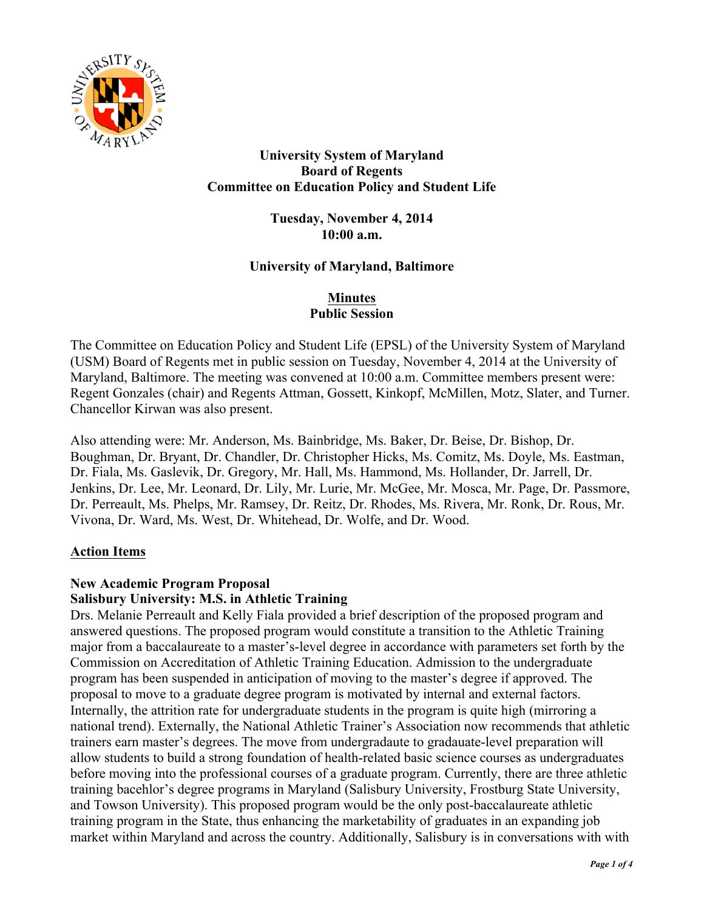

## **University System of Maryland Board of Regents Committee on Education Policy and Student Life**

**Tuesday, November 4, 2014 10:00 a.m.**

## **University of Maryland, Baltimore**

### **Minutes Public Session**

The Committee on Education Policy and Student Life (EPSL) of the University System of Maryland (USM) Board of Regents met in public session on Tuesday, November 4, 2014 at the University of Maryland, Baltimore. The meeting was convened at 10:00 a.m. Committee members present were: Regent Gonzales (chair) and Regents Attman, Gossett, Kinkopf, McMillen, Motz, Slater, and Turner. Chancellor Kirwan was also present.

Also attending were: Mr. Anderson, Ms. Bainbridge, Ms. Baker, Dr. Beise, Dr. Bishop, Dr. Boughman, Dr. Bryant, Dr. Chandler, Dr. Christopher Hicks, Ms. Comitz, Ms. Doyle, Ms. Eastman, Dr. Fiala, Ms. Gaslevik, Dr. Gregory, Mr. Hall, Ms. Hammond, Ms. Hollander, Dr. Jarrell, Dr. Jenkins, Dr. Lee, Mr. Leonard, Dr. Lily, Mr. Lurie, Mr. McGee, Mr. Mosca, Mr. Page, Dr. Passmore, Dr. Perreault, Ms. Phelps, Mr. Ramsey, Dr. Reitz, Dr. Rhodes, Ms. Rivera, Mr. Ronk, Dr. Rous, Mr. Vivona, Dr. Ward, Ms. West, Dr. Whitehead, Dr. Wolfe, and Dr. Wood.

## **Action Items**

#### **New Academic Program Proposal Salisbury University: M.S. in Athletic Training**

Drs. Melanie Perreault and Kelly Fiala provided a brief description of the proposed program and answered questions. The proposed program would constitute a transition to the Athletic Training major from a baccalaureate to a master's-level degree in accordance with parameters set forth by the Commission on Accreditation of Athletic Training Education. Admission to the undergraduate program has been suspended in anticipation of moving to the master's degree if approved. The proposal to move to a graduate degree program is motivated by internal and external factors. Internally, the attrition rate for undergraduate students in the program is quite high (mirroring a national trend). Externally, the National Athletic Trainer's Association now recommends that athletic trainers earn master's degrees. The move from undergradaute to gradauate-level preparation will allow students to build a strong foundation of health-related basic science courses as undergraduates before moving into the professional courses of a graduate program. Currently, there are three athletic training bacehlor's degree programs in Maryland (Salisbury University, Frostburg State University, and Towson University). This proposed program would be the only post-baccalaureate athletic training program in the State, thus enhancing the marketability of graduates in an expanding job market within Maryland and across the country. Additionally, Salisbury is in conversations with with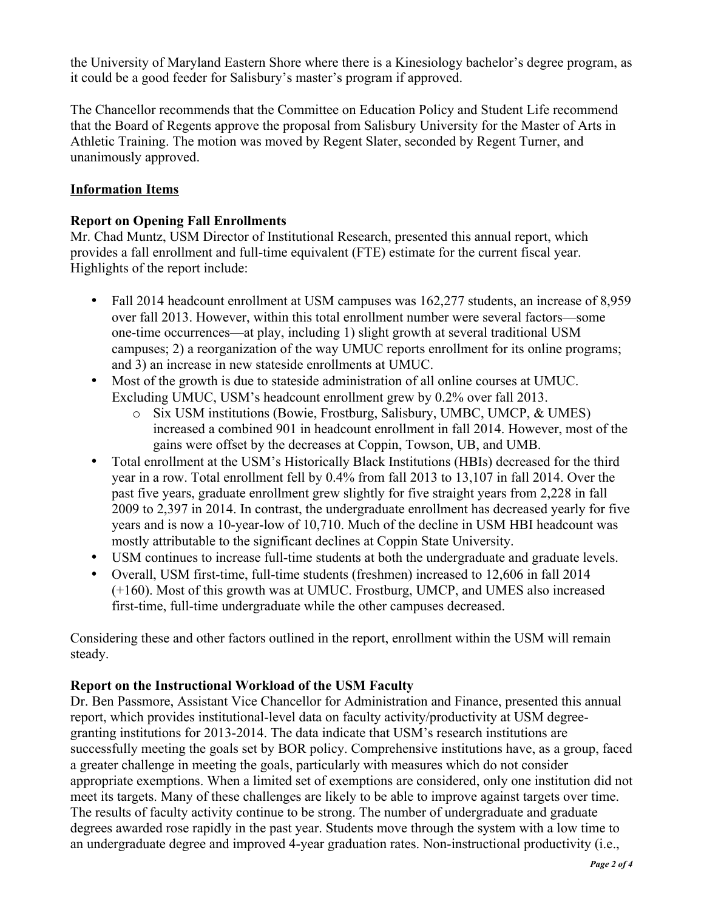the University of Maryland Eastern Shore where there is a Kinesiology bachelor's degree program, as it could be a good feeder for Salisbury's master's program if approved.

The Chancellor recommends that the Committee on Education Policy and Student Life recommend that the Board of Regents approve the proposal from Salisbury University for the Master of Arts in Athletic Training. The motion was moved by Regent Slater, seconded by Regent Turner, and unanimously approved.

# **Information Items**

# **Report on Opening Fall Enrollments**

Mr. Chad Muntz, USM Director of Institutional Research, presented this annual report, which provides a fall enrollment and full-time equivalent (FTE) estimate for the current fiscal year. Highlights of the report include:

- Fall 2014 headcount enrollment at USM campuses was 162,277 students, an increase of 8,959 over fall 2013. However, within this total enrollment number were several factors—some one-time occurrences—at play, including 1) slight growth at several traditional USM campuses; 2) a reorganization of the way UMUC reports enrollment for its online programs; and 3) an increase in new stateside enrollments at UMUC.
- Most of the growth is due to stateside administration of all online courses at UMUC. Excluding UMUC, USM's headcount enrollment grew by 0.2% over fall 2013.
	- o Six USM institutions (Bowie, Frostburg, Salisbury, UMBC, UMCP, & UMES) increased a combined 901 in headcount enrollment in fall 2014. However, most of the gains were offset by the decreases at Coppin, Towson, UB, and UMB.
- Total enrollment at the USM's Historically Black Institutions (HBIs) decreased for the third year in a row. Total enrollment fell by 0.4% from fall 2013 to 13,107 in fall 2014. Over the past five years, graduate enrollment grew slightly for five straight years from 2,228 in fall 2009 to 2,397 in 2014. In contrast, the undergraduate enrollment has decreased yearly for five years and is now a 10-year-low of 10,710. Much of the decline in USM HBI headcount was mostly attributable to the significant declines at Coppin State University.
- USM continues to increase full-time students at both the undergraduate and graduate levels.
- Overall, USM first-time, full-time students (freshmen) increased to 12,606 in fall 2014 (+160). Most of this growth was at UMUC. Frostburg, UMCP, and UMES also increased first-time, full-time undergraduate while the other campuses decreased.

Considering these and other factors outlined in the report, enrollment within the USM will remain steady.

## **Report on the Instructional Workload of the USM Faculty**

Dr. Ben Passmore, Assistant Vice Chancellor for Administration and Finance, presented this annual report, which provides institutional-level data on faculty activity/productivity at USM degreegranting institutions for 2013-2014. The data indicate that USM's research institutions are successfully meeting the goals set by BOR policy. Comprehensive institutions have, as a group, faced a greater challenge in meeting the goals, particularly with measures which do not consider appropriate exemptions. When a limited set of exemptions are considered, only one institution did not meet its targets. Many of these challenges are likely to be able to improve against targets over time. The results of faculty activity continue to be strong. The number of undergraduate and graduate degrees awarded rose rapidly in the past year. Students move through the system with a low time to an undergraduate degree and improved 4-year graduation rates. Non-instructional productivity (i.e.,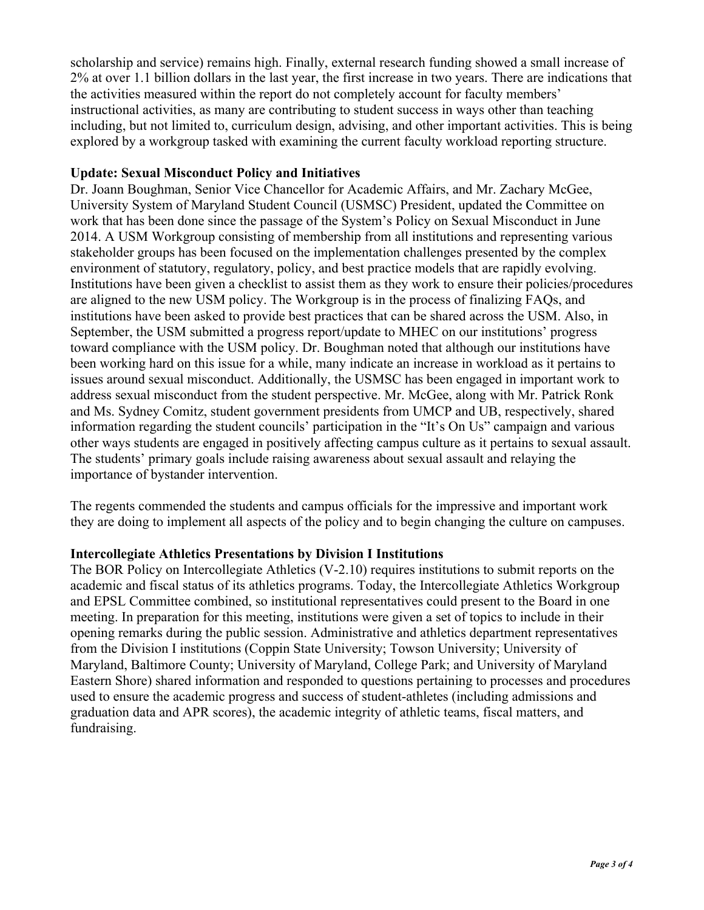scholarship and service) remains high. Finally, external research funding showed a small increase of 2% at over 1.1 billion dollars in the last year, the first increase in two years. There are indications that the activities measured within the report do not completely account for faculty members' instructional activities, as many are contributing to student success in ways other than teaching including, but not limited to, curriculum design, advising, and other important activities. This is being explored by a workgroup tasked with examining the current faculty workload reporting structure.

## **Update: Sexual Misconduct Policy and Initiatives**

Dr. Joann Boughman, Senior Vice Chancellor for Academic Affairs, and Mr. Zachary McGee, University System of Maryland Student Council (USMSC) President, updated the Committee on work that has been done since the passage of the System's Policy on Sexual Misconduct in June 2014. A USM Workgroup consisting of membership from all institutions and representing various stakeholder groups has been focused on the implementation challenges presented by the complex environment of statutory, regulatory, policy, and best practice models that are rapidly evolving. Institutions have been given a checklist to assist them as they work to ensure their policies/procedures are aligned to the new USM policy. The Workgroup is in the process of finalizing FAQs, and institutions have been asked to provide best practices that can be shared across the USM. Also, in September, the USM submitted a progress report/update to MHEC on our institutions' progress toward compliance with the USM policy. Dr. Boughman noted that although our institutions have been working hard on this issue for a while, many indicate an increase in workload as it pertains to issues around sexual misconduct. Additionally, the USMSC has been engaged in important work to address sexual misconduct from the student perspective. Mr. McGee, along with Mr. Patrick Ronk and Ms. Sydney Comitz, student government presidents from UMCP and UB, respectively, shared information regarding the student councils' participation in the "It's On Us" campaign and various other ways students are engaged in positively affecting campus culture as it pertains to sexual assault. The students' primary goals include raising awareness about sexual assault and relaying the importance of bystander intervention.

The regents commended the students and campus officials for the impressive and important work they are doing to implement all aspects of the policy and to begin changing the culture on campuses.

## **Intercollegiate Athletics Presentations by Division I Institutions**

The BOR Policy on Intercollegiate Athletics (V-2.10) requires institutions to submit reports on the academic and fiscal status of its athletics programs. Today, the Intercollegiate Athletics Workgroup and EPSL Committee combined, so institutional representatives could present to the Board in one meeting. In preparation for this meeting, institutions were given a set of topics to include in their opening remarks during the public session. Administrative and athletics department representatives from the Division I institutions (Coppin State University; Towson University; University of Maryland, Baltimore County; University of Maryland, College Park; and University of Maryland Eastern Shore) shared information and responded to questions pertaining to processes and procedures used to ensure the academic progress and success of student-athletes (including admissions and graduation data and APR scores), the academic integrity of athletic teams, fiscal matters, and fundraising.